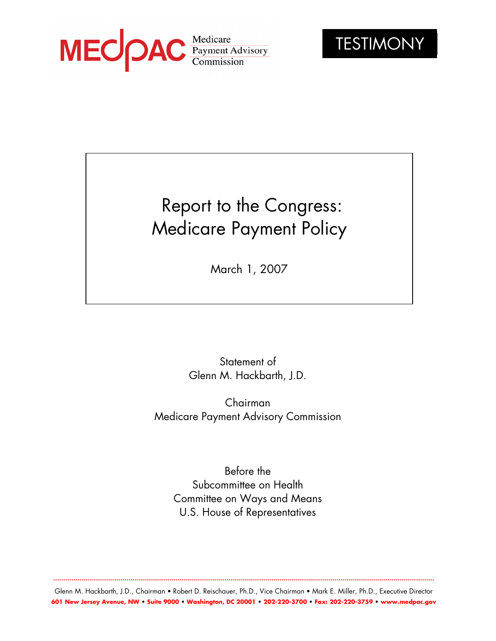



# Report to the Congress: Medicare Payment Policy

March 1, 2007

Statement of Glenn M. Hackbarth, J.D.

Chairman Medicare Payment Advisory Commission

Before the Subcommittee on Health Committee on Ways and Means U.S. House of Representatives

Glenn M. Hackbarth, J.D., Chairman • Robert D. Reischauer, Ph.D., Vice Chairman • Mark E. Miller, Ph.D., Executive Director **601 New Jersey Avenue, NW • Suite 9000 • Washington, DC 20001 • 202-220-3700 • Fax: 202-220-3759 • www.medpac.gov** 

**...........................................................................................................................................................................................**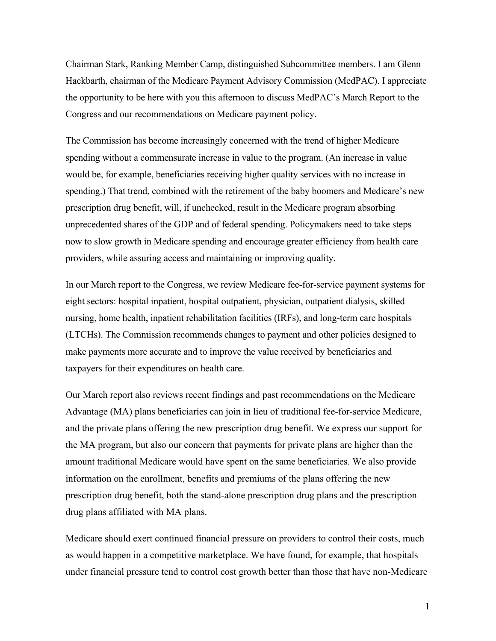Chairman Stark, Ranking Member Camp, distinguished Subcommittee members. I am Glenn Hackbarth, chairman of the Medicare Payment Advisory Commission (MedPAC). I appreciate the opportunity to be here with you this afternoon to discuss MedPAC's March Report to the Congress and our recommendations on Medicare payment policy.

The Commission has become increasingly concerned with the trend of higher Medicare spending without a commensurate increase in value to the program. (An increase in value would be, for example, beneficiaries receiving higher quality services with no increase in spending.) That trend, combined with the retirement of the baby boomers and Medicare's new prescription drug benefit, will, if unchecked, result in the Medicare program absorbing unprecedented shares of the GDP and of federal spending. Policymakers need to take steps now to slow growth in Medicare spending and encourage greater efficiency from health care providers, while assuring access and maintaining or improving quality.

In our March report to the Congress, we review Medicare fee-for-service payment systems for eight sectors: hospital inpatient, hospital outpatient, physician, outpatient dialysis, skilled nursing, home health, inpatient rehabilitation facilities (IRFs), and long-term care hospitals (LTCHs). The Commission recommends changes to payment and other policies designed to make payments more accurate and to improve the value received by beneficiaries and taxpayers for their expenditures on health care.

Our March report also reviews recent findings and past recommendations on the Medicare Advantage (MA) plans beneficiaries can join in lieu of traditional fee-for-service Medicare, and the private plans offering the new prescription drug benefit. We express our support for the MA program, but also our concern that payments for private plans are higher than the amount traditional Medicare would have spent on the same beneficiaries. We also provide information on the enrollment, benefits and premiums of the plans offering the new prescription drug benefit, both the stand-alone prescription drug plans and the prescription drug plans affiliated with MA plans.

Medicare should exert continued financial pressure on providers to control their costs, much as would happen in a competitive marketplace. We have found, for example, that hospitals under financial pressure tend to control cost growth better than those that have non-Medicare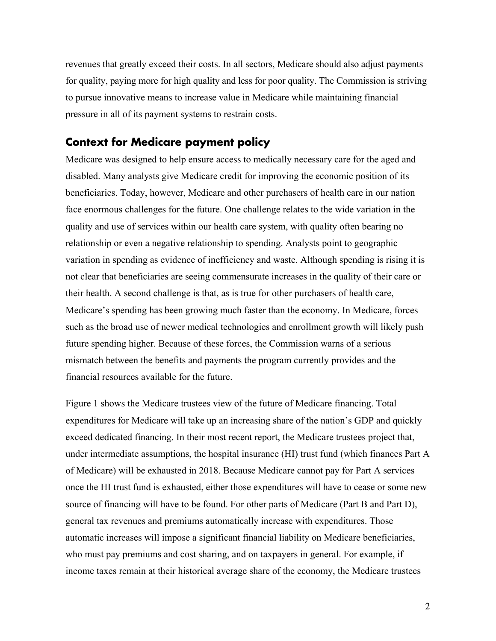revenues that greatly exceed their costs. In all sectors, Medicare should also adjust payments for quality, paying more for high quality and less for poor quality. The Commission is striving to pursue innovative means to increase value in Medicare while maintaining financial pressure in all of its payment systems to restrain costs.

## **Context for Medicare payment policy**

Medicare was designed to help ensure access to medically necessary care for the aged and disabled. Many analysts give Medicare credit for improving the economic position of its beneficiaries. Today, however, Medicare and other purchasers of health care in our nation face enormous challenges for the future. One challenge relates to the wide variation in the quality and use of services within our health care system, with quality often bearing no relationship or even a negative relationship to spending. Analysts point to geographic variation in spending as evidence of inefficiency and waste. Although spending is rising it is not clear that beneficiaries are seeing commensurate increases in the quality of their care or their health. A second challenge is that, as is true for other purchasers of health care, Medicare's spending has been growing much faster than the economy. In Medicare, forces such as the broad use of newer medical technologies and enrollment growth will likely push future spending higher. Because of these forces, the Commission warns of a serious mismatch between the benefits and payments the program currently provides and the financial resources available for the future.

Figure 1 shows the Medicare trustees view of the future of Medicare financing. Total expenditures for Medicare will take up an increasing share of the nation's GDP and quickly exceed dedicated financing. In their most recent report, the Medicare trustees project that, under intermediate assumptions, the hospital insurance (HI) trust fund (which finances Part A of Medicare) will be exhausted in 2018. Because Medicare cannot pay for Part A services once the HI trust fund is exhausted, either those expenditures will have to cease or some new source of financing will have to be found. For other parts of Medicare (Part B and Part D), general tax revenues and premiums automatically increase with expenditures. Those automatic increases will impose a significant financial liability on Medicare beneficiaries, who must pay premiums and cost sharing, and on taxpayers in general. For example, if income taxes remain at their historical average share of the economy, the Medicare trustees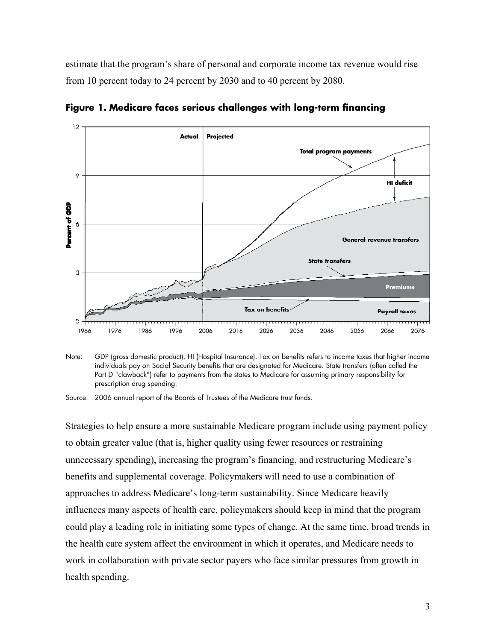estimate that the program's share of personal and corporate income tax revenue would rise from 10 percent today to 24 percent by 2030 and to 40 percent by 2080.



**Figure 1. Medicare faces serious challenges with long-term financing** 

Note: GDP (gross domestic product), HI (Hospital Insurance). Tax on benefits refers to income taxes that higher income individuals pay on Social Security benefits that are designated for Medicare. State transfers (often called the Part D "clawback") refer to payments from the states to Medicare for assuming primary responsibility for prescription drug spending.

Source: 2006 annual report of the Boards of Trustees of the Medicare trust funds.

Strategies to help ensure a more sustainable Medicare program include using payment policy to obtain greater value (that is, higher quality using fewer resources or restraining unnecessary spending), increasing the program's financing, and restructuring Medicare's benefits and supplemental coverage. Policymakers will need to use a combination of approaches to address Medicare's long-term sustainability. Since Medicare heavily influences many aspects of health care, policymakers should keep in mind that the program could play a leading role in initiating some types of change. At the same time, broad trends in the health care system affect the environment in which it operates, and Medicare needs to work in collaboration with private sector payers who face similar pressures from growth in health spending.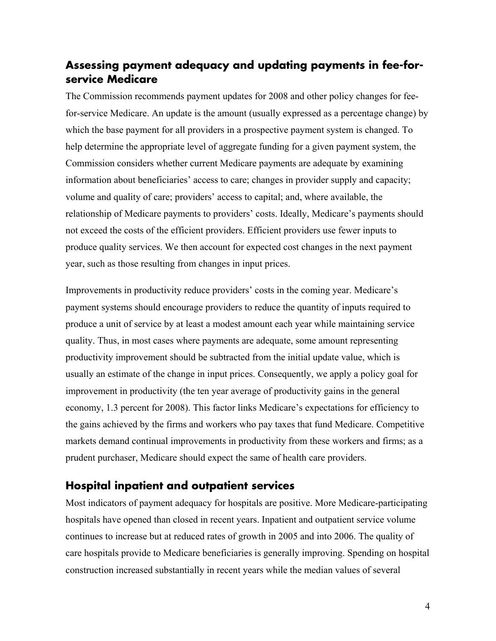# **Assessing payment adequacy and updating payments in fee-forservice Medicare**

The Commission recommends payment updates for 2008 and other policy changes for feefor-service Medicare. An update is the amount (usually expressed as a percentage change) by which the base payment for all providers in a prospective payment system is changed. To help determine the appropriate level of aggregate funding for a given payment system, the Commission considers whether current Medicare payments are adequate by examining information about beneficiaries' access to care; changes in provider supply and capacity; volume and quality of care; providers' access to capital; and, where available, the relationship of Medicare payments to providers' costs. Ideally, Medicare's payments should not exceed the costs of the efficient providers. Efficient providers use fewer inputs to produce quality services. We then account for expected cost changes in the next payment year, such as those resulting from changes in input prices.

Improvements in productivity reduce providers' costs in the coming year. Medicare's payment systems should encourage providers to reduce the quantity of inputs required to produce a unit of service by at least a modest amount each year while maintaining service quality. Thus, in most cases where payments are adequate, some amount representing productivity improvement should be subtracted from the initial update value, which is usually an estimate of the change in input prices. Consequently, we apply a policy goal for improvement in productivity (the ten year average of productivity gains in the general economy, 1.3 percent for 2008). This factor links Medicare's expectations for efficiency to the gains achieved by the firms and workers who pay taxes that fund Medicare. Competitive markets demand continual improvements in productivity from these workers and firms; as a prudent purchaser, Medicare should expect the same of health care providers.

## **Hospital inpatient and outpatient services**

Most indicators of payment adequacy for hospitals are positive. More Medicare-participating hospitals have opened than closed in recent years. Inpatient and outpatient service volume continues to increase but at reduced rates of growth in 2005 and into 2006. The quality of care hospitals provide to Medicare beneficiaries is generally improving. Spending on hospital construction increased substantially in recent years while the median values of several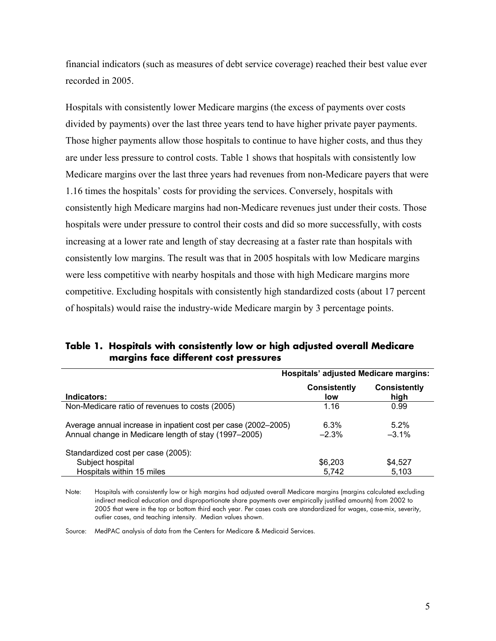financial indicators (such as measures of debt service coverage) reached their best value ever recorded in 2005.

Hospitals with consistently lower Medicare margins (the excess of payments over costs divided by payments) over the last three years tend to have higher private payer payments. Those higher payments allow those hospitals to continue to have higher costs, and thus they are under less pressure to control costs. Table 1 shows that hospitals with consistently low Medicare margins over the last three years had revenues from non-Medicare payers that were 1.16 times the hospitals' costs for providing the services. Conversely, hospitals with consistently high Medicare margins had non-Medicare revenues just under their costs. Those hospitals were under pressure to control their costs and did so more successfully, with costs increasing at a lower rate and length of stay decreasing at a faster rate than hospitals with consistently low margins. The result was that in 2005 hospitals with low Medicare margins were less competitive with nearby hospitals and those with high Medicare margins more competitive. Excluding hospitals with consistently high standardized costs (about 17 percent of hospitals) would raise the industry-wide Medicare margin by 3 percentage points.

| Table 1. Hospitals with consistently low or high adjusted overall Medicare<br>margins face different cost pressures |
|---------------------------------------------------------------------------------------------------------------------|
|                                                                                                                     |

|                                                                                                                        | <b>Hospitals' adjusted Medicare margins:</b> |                             |  |
|------------------------------------------------------------------------------------------------------------------------|----------------------------------------------|-----------------------------|--|
| Indicators:                                                                                                            | Consistently<br>low                          | <b>Consistently</b><br>high |  |
| Non-Medicare ratio of revenues to costs (2005)                                                                         | 1.16                                         | 0.99                        |  |
| Average annual increase in inpatient cost per case (2002-2005)<br>Annual change in Medicare length of stay (1997–2005) | 6.3%<br>$-2.3%$                              | $5.2\%$<br>$-3.1\%$         |  |
| Standardized cost per case (2005):<br>Subject hospital                                                                 | \$6,203                                      | \$4,527                     |  |
| Hospitals within 15 miles                                                                                              | 5.742                                        | 5.103                       |  |

Note: Hospitals with consistently low or high margins had adjusted overall Medicare margins (margins calculated excluding indirect medical education and disproportionate share payments over empirically justified amounts) from 2002 to 2005 that were in the top or bottom third each year. Per cases costs are standardized for wages, case-mix, severity, outlier cases, and teaching intensity. Median values shown.

Source: MedPAC analysis of data from the Centers for Medicare & Medicaid Services.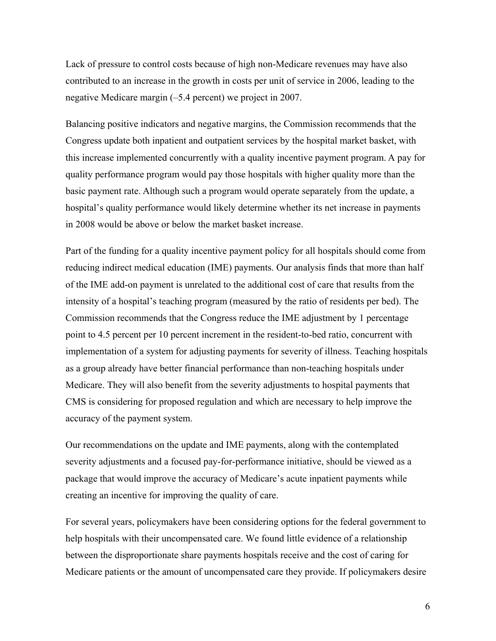Lack of pressure to control costs because of high non-Medicare revenues may have also contributed to an increase in the growth in costs per unit of service in 2006, leading to the negative Medicare margin (–5.4 percent) we project in 2007.

Balancing positive indicators and negative margins, the Commission recommends that the Congress update both inpatient and outpatient services by the hospital market basket, with this increase implemented concurrently with a quality incentive payment program. A pay for quality performance program would pay those hospitals with higher quality more than the basic payment rate. Although such a program would operate separately from the update, a hospital's quality performance would likely determine whether its net increase in payments in 2008 would be above or below the market basket increase.

Part of the funding for a quality incentive payment policy for all hospitals should come from reducing indirect medical education (IME) payments. Our analysis finds that more than half of the IME add-on payment is unrelated to the additional cost of care that results from the intensity of a hospital's teaching program (measured by the ratio of residents per bed). The Commission recommends that the Congress reduce the IME adjustment by 1 percentage point to 4.5 percent per 10 percent increment in the resident-to-bed ratio, concurrent with implementation of a system for adjusting payments for severity of illness. Teaching hospitals as a group already have better financial performance than non-teaching hospitals under Medicare. They will also benefit from the severity adjustments to hospital payments that CMS is considering for proposed regulation and which are necessary to help improve the accuracy of the payment system.

Our recommendations on the update and IME payments, along with the contemplated severity adjustments and a focused pay-for-performance initiative, should be viewed as a package that would improve the accuracy of Medicare's acute inpatient payments while creating an incentive for improving the quality of care.

For several years, policymakers have been considering options for the federal government to help hospitals with their uncompensated care. We found little evidence of a relationship between the disproportionate share payments hospitals receive and the cost of caring for Medicare patients or the amount of uncompensated care they provide. If policymakers desire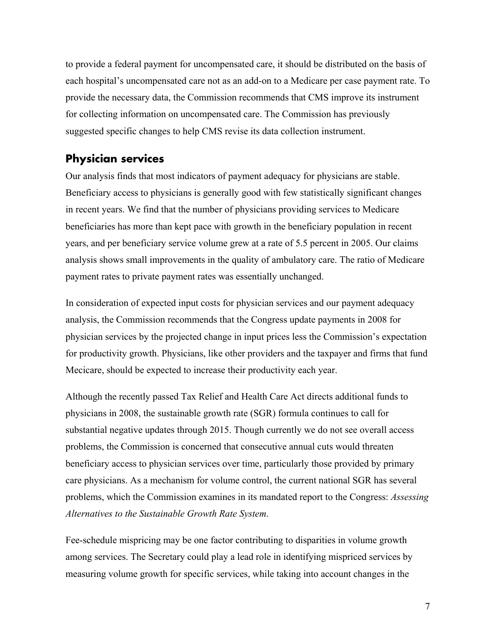to provide a federal payment for uncompensated care, it should be distributed on the basis of each hospital's uncompensated care not as an add-on to a Medicare per case payment rate. To provide the necessary data, the Commission recommends that CMS improve its instrument for collecting information on uncompensated care. The Commission has previously suggested specific changes to help CMS revise its data collection instrument.

## **Physician services**

Our analysis finds that most indicators of payment adequacy for physicians are stable. Beneficiary access to physicians is generally good with few statistically significant changes in recent years. We find that the number of physicians providing services to Medicare beneficiaries has more than kept pace with growth in the beneficiary population in recent years, and per beneficiary service volume grew at a rate of 5.5 percent in 2005. Our claims analysis shows small improvements in the quality of ambulatory care. The ratio of Medicare payment rates to private payment rates was essentially unchanged.

In consideration of expected input costs for physician services and our payment adequacy analysis, the Commission recommends that the Congress update payments in 2008 for physician services by the projected change in input prices less the Commission's expectation for productivity growth. Physicians, like other providers and the taxpayer and firms that fund Mecicare, should be expected to increase their productivity each year.

Although the recently passed Tax Relief and Health Care Act directs additional funds to physicians in 2008, the sustainable growth rate (SGR) formula continues to call for substantial negative updates through 2015. Though currently we do not see overall access problems, the Commission is concerned that consecutive annual cuts would threaten beneficiary access to physician services over time, particularly those provided by primary care physicians. As a mechanism for volume control, the current national SGR has several problems, which the Commission examines in its mandated report to the Congress: *Assessing Alternatives to the Sustainable Growth Rate System*.

Fee-schedule mispricing may be one factor contributing to disparities in volume growth among services. The Secretary could play a lead role in identifying mispriced services by measuring volume growth for specific services, while taking into account changes in the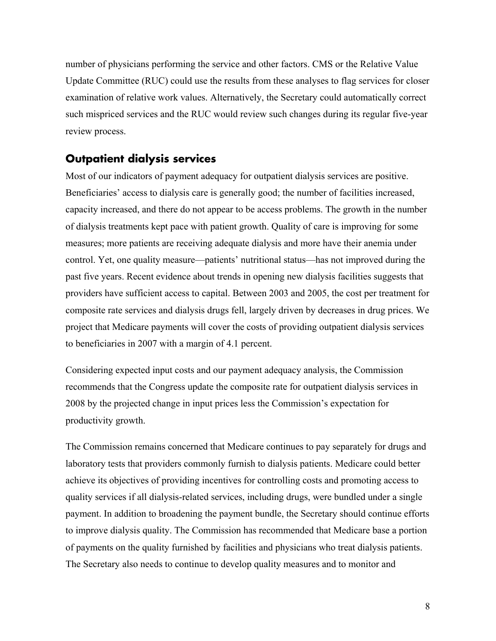number of physicians performing the service and other factors. CMS or the Relative Value Update Committee (RUC) could use the results from these analyses to flag services for closer examination of relative work values. Alternatively, the Secretary could automatically correct such mispriced services and the RUC would review such changes during its regular five-year review process.

## **Outpatient dialysis services**

Most of our indicators of payment adequacy for outpatient dialysis services are positive. Beneficiaries' access to dialysis care is generally good; the number of facilities increased, capacity increased, and there do not appear to be access problems. The growth in the number of dialysis treatments kept pace with patient growth. Quality of care is improving for some measures; more patients are receiving adequate dialysis and more have their anemia under control. Yet, one quality measure—patients' nutritional status—has not improved during the past five years. Recent evidence about trends in opening new dialysis facilities suggests that providers have sufficient access to capital. Between 2003 and 2005, the cost per treatment for composite rate services and dialysis drugs fell, largely driven by decreases in drug prices. We project that Medicare payments will cover the costs of providing outpatient dialysis services to beneficiaries in 2007 with a margin of 4.1 percent.

Considering expected input costs and our payment adequacy analysis, the Commission recommends that the Congress update the composite rate for outpatient dialysis services in 2008 by the projected change in input prices less the Commission's expectation for productivity growth.

The Commission remains concerned that Medicare continues to pay separately for drugs and laboratory tests that providers commonly furnish to dialysis patients. Medicare could better achieve its objectives of providing incentives for controlling costs and promoting access to quality services if all dialysis-related services, including drugs, were bundled under a single payment. In addition to broadening the payment bundle, the Secretary should continue efforts to improve dialysis quality. The Commission has recommended that Medicare base a portion of payments on the quality furnished by facilities and physicians who treat dialysis patients. The Secretary also needs to continue to develop quality measures and to monitor and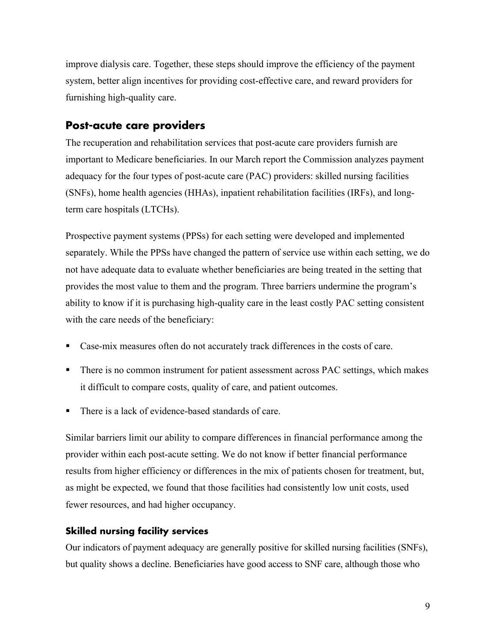improve dialysis care. Together, these steps should improve the efficiency of the payment system, better align incentives for providing cost-effective care, and reward providers for furnishing high-quality care.

## **Post-acute care providers**

The recuperation and rehabilitation services that post-acute care providers furnish are important to Medicare beneficiaries. In our March report the Commission analyzes payment adequacy for the four types of post-acute care (PAC) providers: skilled nursing facilities (SNFs), home health agencies (HHAs), inpatient rehabilitation facilities (IRFs), and longterm care hospitals (LTCHs).

Prospective payment systems (PPSs) for each setting were developed and implemented separately. While the PPSs have changed the pattern of service use within each setting, we do not have adequate data to evaluate whether beneficiaries are being treated in the setting that provides the most value to them and the program. Three barriers undermine the program's ability to know if it is purchasing high-quality care in the least costly PAC setting consistent with the care needs of the beneficiary:

- Case-mix measures often do not accurately track differences in the costs of care.
- There is no common instrument for patient assessment across PAC settings, which makes it difficult to compare costs, quality of care, and patient outcomes.
- There is a lack of evidence-based standards of care.

Similar barriers limit our ability to compare differences in financial performance among the provider within each post-acute setting. We do not know if better financial performance results from higher efficiency or differences in the mix of patients chosen for treatment, but, as might be expected, we found that those facilities had consistently low unit costs, used fewer resources, and had higher occupancy.

#### **Skilled nursing facility services**

Our indicators of payment adequacy are generally positive for skilled nursing facilities (SNFs), but quality shows a decline. Beneficiaries have good access to SNF care, although those who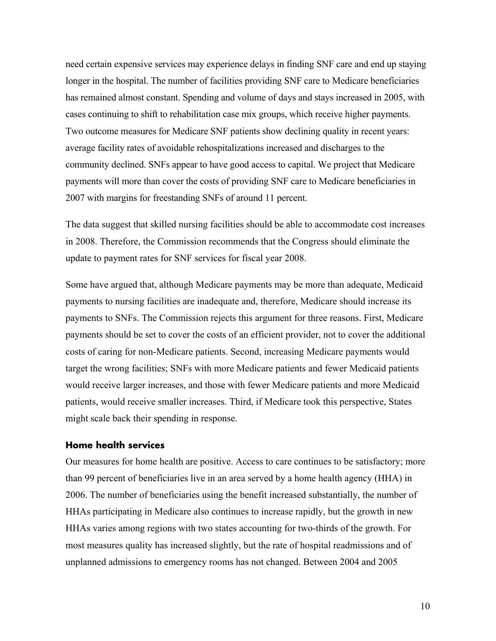need certain expensive services may experience delays in finding SNF care and end up staying longer in the hospital. The number of facilities providing SNF care to Medicare beneficiaries has remained almost constant. Spending and volume of days and stays increased in 2005, with cases continuing to shift to rehabilitation case mix groups, which receive higher payments. Two outcome measures for Medicare SNF patients show declining quality in recent years: average facility rates of avoidable rehospitalizations increased and discharges to the community declined. SNFs appear to have good access to capital. We project that Medicare payments will more than cover the costs of providing SNF care to Medicare beneficiaries in 2007 with margins for freestanding SNFs of around 11 percent.

The data suggest that skilled nursing facilities should be able to accommodate cost increases in 2008. Therefore, the Commission recommends that the Congress should eliminate the update to payment rates for SNF services for fiscal year 2008.

Some have argued that, although Medicare payments may be more than adequate, Medicaid payments to nursing facilities are inadequate and, therefore, Medicare should increase its payments to SNFs. The Commission rejects this argument for three reasons. First, Medicare payments should be set to cover the costs of an efficient provider, not to cover the additional costs of caring for non-Medicare patients. Second, increasing Medicare payments would target the wrong facilities; SNFs with more Medicare patients and fewer Medicaid patients would receive larger increases, and those with fewer Medicare patients and more Medicaid patients, would receive smaller increases. Third, if Medicare took this perspective, States might scale back their spending in response.

#### **Home health services**

Our measures for home health are positive. Access to care continues to be satisfactory; more than 99 percent of beneficiaries live in an area served by a home health agency (HHA) in 2006. The number of beneficiaries using the benefit increased substantially, the number of HHAs participating in Medicare also continues to increase rapidly, but the growth in new HHAs varies among regions with two states accounting for two-thirds of the growth. For most measures quality has increased slightly, but the rate of hospital readmissions and of unplanned admissions to emergency rooms has not changed. Between 2004 and 2005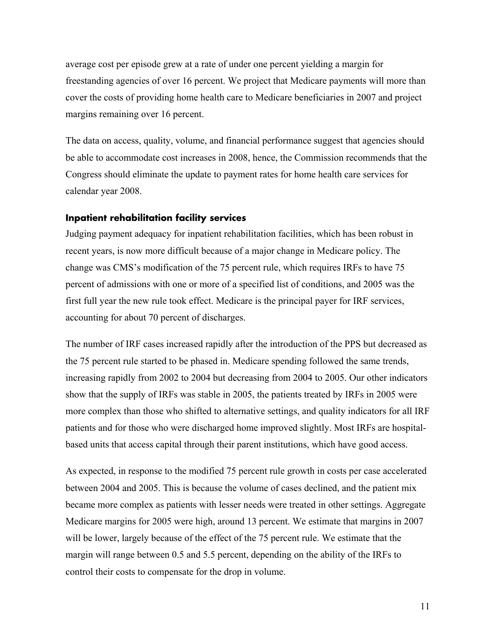average cost per episode grew at a rate of under one percent yielding a margin for freestanding agencies of over 16 percent. We project that Medicare payments will more than cover the costs of providing home health care to Medicare beneficiaries in 2007 and project margins remaining over 16 percent.

The data on access, quality, volume, and financial performance suggest that agencies should be able to accommodate cost increases in 2008, hence, the Commission recommends that the Congress should eliminate the update to payment rates for home health care services for calendar year 2008.

#### **Inpatient rehabilitation facility services**

Judging payment adequacy for inpatient rehabilitation facilities, which has been robust in recent years, is now more difficult because of a major change in Medicare policy. The change was CMS's modification of the 75 percent rule, which requires IRFs to have 75 percent of admissions with one or more of a specified list of conditions, and 2005 was the first full year the new rule took effect. Medicare is the principal payer for IRF services, accounting for about 70 percent of discharges.

The number of IRF cases increased rapidly after the introduction of the PPS but decreased as the 75 percent rule started to be phased in. Medicare spending followed the same trends, increasing rapidly from 2002 to 2004 but decreasing from 2004 to 2005. Our other indicators show that the supply of IRFs was stable in 2005, the patients treated by IRFs in 2005 were more complex than those who shifted to alternative settings, and quality indicators for all IRF patients and for those who were discharged home improved slightly. Most IRFs are hospitalbased units that access capital through their parent institutions, which have good access.

As expected, in response to the modified 75 percent rule growth in costs per case accelerated between 2004 and 2005. This is because the volume of cases declined, and the patient mix became more complex as patients with lesser needs were treated in other settings. Aggregate Medicare margins for 2005 were high, around 13 percent. We estimate that margins in 2007 will be lower, largely because of the effect of the 75 percent rule. We estimate that the margin will range between 0.5 and 5.5 percent, depending on the ability of the IRFs to control their costs to compensate for the drop in volume.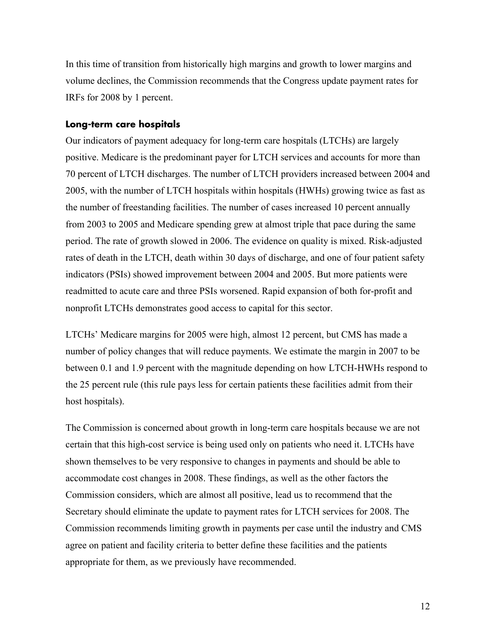In this time of transition from historically high margins and growth to lower margins and volume declines, the Commission recommends that the Congress update payment rates for IRFs for 2008 by 1 percent.

#### **Long-term care hospitals**

Our indicators of payment adequacy for long-term care hospitals (LTCHs) are largely positive. Medicare is the predominant payer for LTCH services and accounts for more than 70 percent of LTCH discharges. The number of LTCH providers increased between 2004 and 2005, with the number of LTCH hospitals within hospitals (HWHs) growing twice as fast as the number of freestanding facilities. The number of cases increased 10 percent annually from 2003 to 2005 and Medicare spending grew at almost triple that pace during the same period. The rate of growth slowed in 2006. The evidence on quality is mixed. Risk-adjusted rates of death in the LTCH, death within 30 days of discharge, and one of four patient safety indicators (PSIs) showed improvement between 2004 and 2005. But more patients were readmitted to acute care and three PSIs worsened. Rapid expansion of both for-profit and nonprofit LTCHs demonstrates good access to capital for this sector.

LTCHs' Medicare margins for 2005 were high, almost 12 percent, but CMS has made a number of policy changes that will reduce payments. We estimate the margin in 2007 to be between 0.1 and 1.9 percent with the magnitude depending on how LTCH-HWHs respond to the 25 percent rule (this rule pays less for certain patients these facilities admit from their host hospitals).

The Commission is concerned about growth in long-term care hospitals because we are not certain that this high-cost service is being used only on patients who need it. LTCHs have shown themselves to be very responsive to changes in payments and should be able to accommodate cost changes in 2008. These findings, as well as the other factors the Commission considers, which are almost all positive, lead us to recommend that the Secretary should eliminate the update to payment rates for LTCH services for 2008. The Commission recommends limiting growth in payments per case until the industry and CMS agree on patient and facility criteria to better define these facilities and the patients appropriate for them, as we previously have recommended.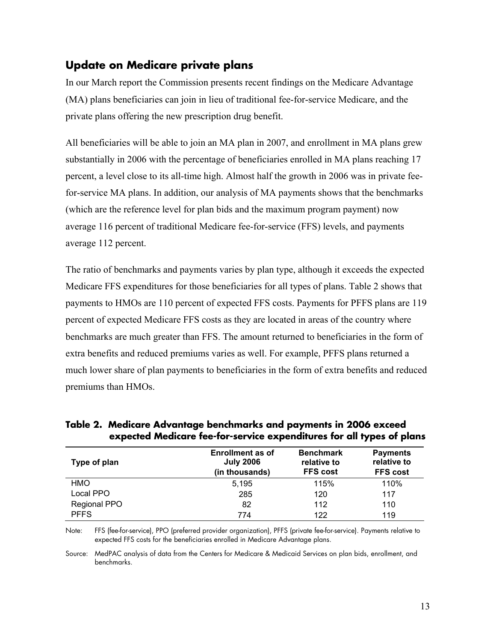# **Update on Medicare private plans**

In our March report the Commission presents recent findings on the Medicare Advantage (MA) plans beneficiaries can join in lieu of traditional fee-for-service Medicare, and the private plans offering the new prescription drug benefit.

All beneficiaries will be able to join an MA plan in 2007, and enrollment in MA plans grew substantially in 2006 with the percentage of beneficiaries enrolled in MA plans reaching 17 percent, a level close to its all-time high. Almost half the growth in 2006 was in private feefor-service MA plans. In addition, our analysis of MA payments shows that the benchmarks (which are the reference level for plan bids and the maximum program payment) now average 116 percent of traditional Medicare fee-for-service (FFS) levels, and payments average 112 percent.

The ratio of benchmarks and payments varies by plan type, although it exceeds the expected Medicare FFS expenditures for those beneficiaries for all types of plans. Table 2 shows that payments to HMOs are 110 percent of expected FFS costs. Payments for PFFS plans are 119 percent of expected Medicare FFS costs as they are located in areas of the country where benchmarks are much greater than FFS. The amount returned to beneficiaries in the form of extra benefits and reduced premiums varies as well. For example, PFFS plans returned a much lower share of plan payments to beneficiaries in the form of extra benefits and reduced premiums than HMOs.

| Type of plan | <b>Enrollment as of</b><br><b>July 2006</b><br>(in thousands) | <b>Benchmark</b><br>relative to<br><b>FFS cost</b> | <b>Payments</b><br>relative to<br><b>FFS cost</b> |
|--------------|---------------------------------------------------------------|----------------------------------------------------|---------------------------------------------------|
| <b>HMO</b>   | 5.195                                                         | 115%                                               | 110%                                              |
| Local PPO    | 285                                                           | 120                                                | 117                                               |
| Regional PPO | 82                                                            | 112                                                | 110                                               |
| <b>PFFS</b>  | 774                                                           | 122                                                | 119                                               |

**Table 2. Medicare Advantage benchmarks and payments in 2006 exceed expected Medicare fee-for-service expenditures for all types of plans** 

Note: FFS (fee-for-service), PPO (preferred provider organization), PFFS (private fee-for-service). Payments relative to expected FFS costs for the beneficiaries enrolled in Medicare Advantage plans.

Source: MedPAC analysis of data from the Centers for Medicare & Medicaid Services on plan bids, enrollment, and benchmarks.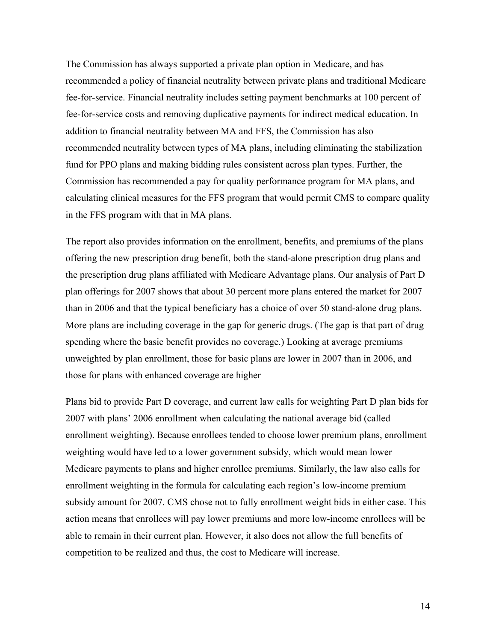The Commission has always supported a private plan option in Medicare, and has recommended a policy of financial neutrality between private plans and traditional Medicare fee-for-service. Financial neutrality includes setting payment benchmarks at 100 percent of fee-for-service costs and removing duplicative payments for indirect medical education. In addition to financial neutrality between MA and FFS, the Commission has also recommended neutrality between types of MA plans, including eliminating the stabilization fund for PPO plans and making bidding rules consistent across plan types. Further, the Commission has recommended a pay for quality performance program for MA plans, and calculating clinical measures for the FFS program that would permit CMS to compare quality in the FFS program with that in MA plans.

The report also provides information on the enrollment, benefits, and premiums of the plans offering the new prescription drug benefit, both the stand-alone prescription drug plans and the prescription drug plans affiliated with Medicare Advantage plans. Our analysis of Part D plan offerings for 2007 shows that about 30 percent more plans entered the market for 2007 than in 2006 and that the typical beneficiary has a choice of over 50 stand-alone drug plans. More plans are including coverage in the gap for generic drugs. (The gap is that part of drug spending where the basic benefit provides no coverage.) Looking at average premiums unweighted by plan enrollment, those for basic plans are lower in 2007 than in 2006, and those for plans with enhanced coverage are higher

Plans bid to provide Part D coverage, and current law calls for weighting Part D plan bids for 2007 with plans' 2006 enrollment when calculating the national average bid (called enrollment weighting). Because enrollees tended to choose lower premium plans, enrollment weighting would have led to a lower government subsidy, which would mean lower Medicare payments to plans and higher enrollee premiums. Similarly, the law also calls for enrollment weighting in the formula for calculating each region's low-income premium subsidy amount for 2007. CMS chose not to fully enrollment weight bids in either case. This action means that enrollees will pay lower premiums and more low-income enrollees will be able to remain in their current plan. However, it also does not allow the full benefits of competition to be realized and thus, the cost to Medicare will increase.